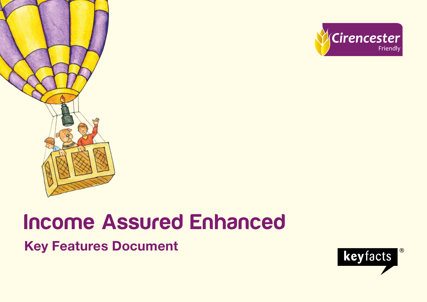



# Income Assured Enhanced

**Key Features Document**

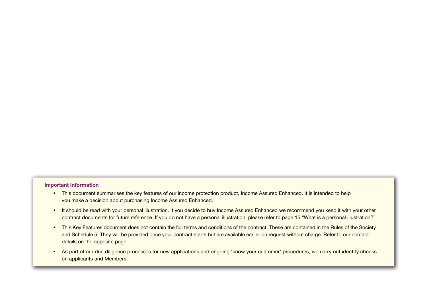#### **Important Information**

- This document summarises the key features of our income protection product, Income Assured Enhanced. It is intended to help you make a decision about purchasing Income Assured Enhanced.
- It should be read with your personal illustration. If you decide to buy Income Assured Enhanced we recommend you keep it with your other contract documents for future reference. If you do not have a personal illustration, please refer to page 15 "What is a personal illustration?"
- This Key Features document does not contain the full terms and conditions of the contract. These are contained in the Rules of the Society and Schedule 5. They will be provided once your contract starts but are available earlier on request without charge. Refer to our contact details on the opposite page.
- As part of our due diligence processes for new applications and ongoing 'know your customer' procedures, we carry out identity checks on applicants and Members.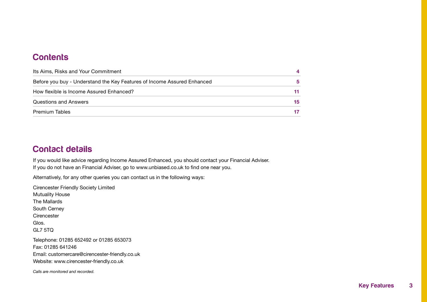## **Contents**

| Its Aims, Risks and Your Commitment                                     |    |
|-------------------------------------------------------------------------|----|
| Before you buy - Understand the Key Features of Income Assured Enhanced |    |
| How flexible is Income Assured Enhanced?                                |    |
| Questions and Answers                                                   | 15 |
| <b>Premium Tables</b>                                                   |    |

## Contact details

If you would like advice regarding Income Assured Enhanced, you should contact your Financial Adviser. If you do not have an Financial Adviser, go to www.unbiased.co.uk to find one near you.

Alternatively, for any other queries you can contact us in the following ways:

Cirencester Friendly Society Limited Mutuality House The Mallards South Cerney **Cirencester** Glos. GL7 5TQ Telephone: 01285 652492 or 01285 653073 Fax: 01285 641246 Email: customercare@cirencester-friendly.co.uk Website: www.cirencester-friendly.co.uk

*Calls are monitored and recorded.*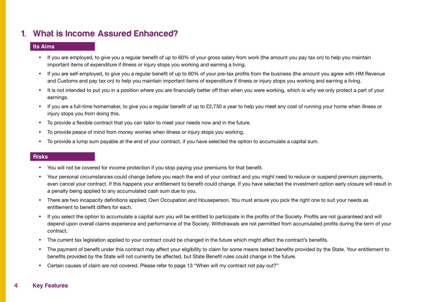## 1. What is Income Assured Enhanced?

#### **Its Aims**

- If you are employed, to give you a regular benefit of up to 60% of your gross salary from work (the amount you pay tax on) to help you maintain important items of expenditure if illness or injury stops you working and earning a living.
- If you are self-employed, to give you a regular benefit of up to 60% of your pre-tax profits from the business (the amount you agree with HM Revenue and Customs and pay tax on) to help you maintain important items of expenditure if illness or injury stops you working and earning a living.
- It is not intended to put you in a position where you are financially better off than when you were working, which is why we only protect a part of your earnings.
- If you are a full-time homemaker, to give you a regular benefit of up to £2,730 a year to help you meet any cost of running your home when illness or injury stops you from doing this.
- • To provide a flexible contract that you can tailor to meet your needs now and in the future.
- To provide peace of mind from money worries when illness or injury stops you working.
- To provide a lump sum payable at the end of your contract, if you have selected the option to accumulate a capital sum.

#### **Risks**

- You will not be covered for income protection if you stop paying your premiums for that benefit.
- Your personal circumstances could change before you reach the end of your contract and you might need to reduce or suspend premium payments, even cancel your contract. If this happens your entitlement to benefit could change. If you have selected the investment option early closure will result in a penalty being applied to any accumulated cash sum due to you.
- There are two incapacity definitions applied; Own Occupation and Houseperson. You must ensure you pick the right one to suit your needs as entitlement to benefit differs for each.
- If you select the option to accumulate a capital sum you will be entitled to participate in the profits of the Society. Profits are not guaranteed and will depend upon overall claims experience and performance of the Society. Withdrawals are not permitted from accumulated profits during the term of your contract.
- The current tax legislation applied to your contract could be changed in the future which might affect the contract's benefits.
- The payment of benefit under this contract may affect your eligibility to claim for some means tested benefits provided by the State. Your entitlement to benefits provided by the State will not currently be affected, but State Benefit rules could change in the future.
- Certain causes of claim are not covered. Please refer to page 13 "When will my contract not pay out?"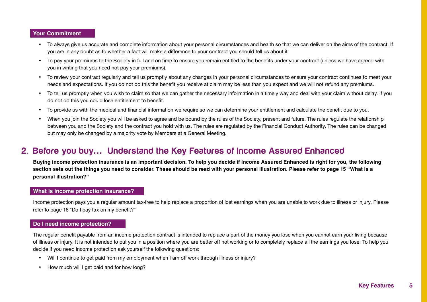#### **Your Commitment**

- • To always give us accurate and complete information about your personal circumstances and health so that we can deliver on the aims of the contract. If you are in any doubt as to whether a fact will make a difference to your contract you should tell us about it.
- • To pay your premiums to the Society in full and on time to ensure you remain entitled to the benefits under your contract (unless we have agreed with you in writing that you need not pay your premiums).
- • To review your contract regularly and tell us promptly about any changes in your personal circumstances to ensure your contract continues to meet your needs and expectations. If you do not do this the benefit you receive at claim may be less than you expect and we will not refund any premiums.
- To tell us promptly when you wish to claim so that we can gather the necessary information in a timely way and deal with your claim without delay. If you do not do this you could lose entitlement to benefit.
- To provide us with the medical and financial information we require so we can determine your entitlement and calculate the benefit due to you.
- When you join the Society you will be asked to agree and be bound by the rules of the Society, present and future. The rules regulate the relationship between you and the Society and the contract you hold with us. The rules are regulated by the Financial Conduct Authority. The rules can be changed but may only be changed by a majority vote by Members at a General Meeting.

## 2. Before you buy**…** Understand the Key Features of Income Assured Enhanced

**Buying income protection insurance is an important decision. To help you decide if Income Assured Enhanced is right for you, the following section sets out the things you need to consider. These should be read with your personal illustration. Please refer to page 15 "What is a personal illustration?"**

#### **What is income protection insurance?**

Income protection pays you a regular amount tax-free to help replace a proportion of lost earnings when you are unable to work due to illness or injury. Please refer to page 16 "Do I pay tax on my benefit?"

#### **Do I need income protection?**

The regular benefit payable from an income protection contract is intended to replace a part of the money you lose when you cannot earn your living because of illness or injury. It is not intended to put you in a position where you are better off not working or to completely replace all the earnings you lose. To help you decide if you need income protection ask yourself the following questions:

- Will I continue to get paid from my employment when I am off work through illness or injury?
- How much will I get paid and for how long?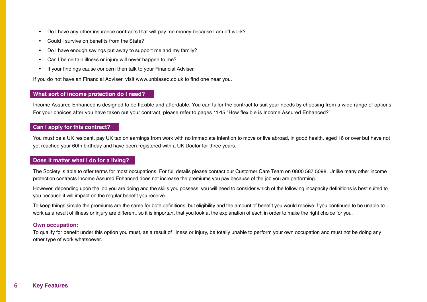- Do I have any other insurance contracts that will pay me money because I am off work?
- Could I survive on benefits from the State?
- Do I have enough savings put away to support me and my family?
- Can I be certain illness or injury will never happen to me?
- If your findings cause concern then talk to your Financial Adviser.

If you do not have an Financial Adviser, visit www.unbiased.co.uk to find one near you.

#### **What sort of income protection do I need?**

Income Assured Enhanced is designed to be flexible and affordable. You can tailor the contract to suit your needs by choosing from a wide range of options. For your choices after you have taken out your contract, please refer to pages 11-15 "How flexible is Income Assured Enhanced?"

#### **Can I apply for this contract?**

You must be a UK resident, pay UK tax on earnings from work with no immediate intention to move or live abroad, in good health, aged 16 or over but have not yet reached your 60th birthday and have been registered with a UK Doctor for three years.

#### **Does it matter what I do for a living?**

The Society is able to offer terms for most occupations. For full details please contact our Customer Care Team on 0800 587 5098. Unlike many other income protection contracts Income Assured Enhanced does not increase the premiums you pay because of the job you are performing.

However, depending upon the job you are doing and the skills you possess, you will need to consider which of the following incapacity definitions is best suited to you because it will impact on the regular benefit you receive.

To keep things simple the premiums are the same for both definitions, but eligibility and the amount of benefit you would receive if you continued to be unable to work as a result of illness or injury are different, so it is important that you look at the explanation of each in order to make the right choice for you.

#### **Own occupation:**

To qualify for benefit under this option you must, as a result of illness or injury, be totally unable to perform your own occupation and must not be doing any other type of work whatsoever.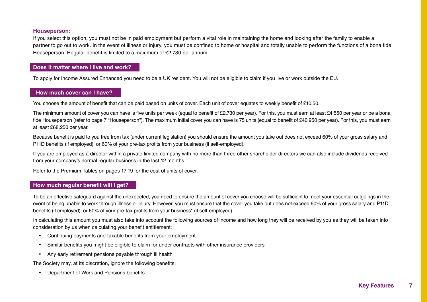#### **Houseperson:**

If you select this option, you must not be in paid employment but perform a vital role in maintaining the home and looking after the family to enable a partner to go out to work. In the event of illness or injury, you must be confined to home or hospital and totally unable to perform the functions of a bona fide Houseperson. Regular benefit is limited to a maximum of £2,730 per annum.

#### **Does it matter where I live and work?**

To apply for Income Assured Enhanced you need to be a UK resident. You will not be eligible to claim if you live or work outside the EU.

#### **How much cover can I have?**

You choose the amount of benefit that can be paid based on units of cover. Each unit of cover equates to weekly benefit of £10.50.

The minimum amount of cover you can have is five units per week (equal to benefit of £2,730 per year). For this, you must earn at least £4,550 per year or be a bona fide Houseperson (refer to page 7 "Houseperson"). The maximum initial cover you can have is 75 units (equal to benefit of £40,950 per year). For this, you must earn at least £68,250 per year.

Because benefit is paid to you free from tax (under current legislation) you should ensure the amount you take out does not exceed 60% of your gross salary and P11D benefits (if employed), or 60% of your pre-tax profits from your business (if self-employed).

If you are employed as a director within a private limited company with no more than three other shareholder directors we can also include dividends received from your company's normal regular business in the last 12 months.

Refer to the Premium Tables on pages 17-19 for the cost of units of cover.

#### **How much regular benefit will I get?**

To be an effective safeguard against the unexpected, you need to ensure the amount of cover you choose will be sufficient to meet your essential outgoings in the event of being unable to work through illness or injury. However, you must ensure that the cover you take out does not exceed 60% of your gross salary and P11D benefits (if employed), or 60% of your pre-tax profits from your business\* (if self-employed).

In calculating this amount you must also take into account the following sources of income and how long they will be received by you as they will be taken into consideration by us when calculating your benefit entitlement:

- • Continuing payments and taxable benefits from your employment
- Similar benefits you might be eligible to claim for under contracts with other insurance providers
- Any early retirement pensions payable through ill health

The Society may, at its discretion, ignore the following benefits:

• Department of Work and Pensions benefits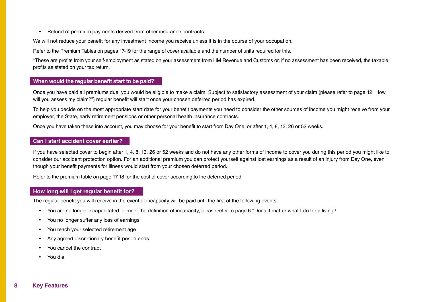• Refund of premium payments derived from other insurance contracts

We will not reduce your benefit for any investment income you receive unless it is in the course of your occupation.

Refer to the Premium Tables on pages 17-19 for the range of cover available and the number of units required for this.

\*These are profits from your self-employment as stated on your assessment from HM Revenue and Customs or, if no assessment has been received, the taxable profits as stated on your tax return.

#### **When would the regular benefit start to be paid?**

Once you have paid all premiums due, you would be eligible to make a claim. Subject to satisfactory assessment of your claim (please refer to page 12 "How will you assess my claim?") regular benefit will start once your chosen deferred period has expired.

To help you decide on the most appropriate start date for your benefit payments you need to consider the other sources of income you might receive from your employer, the State, early retirement pensions or other personal health insurance contracts.

Once you have taken these into account, you may choose for your benefit to start from Day One, or after 1, 4, 8, 13, 26 or 52 weeks.

#### **Can I start accident cover earlier?**

If you have selected cover to begin after 1, 4, 8, 13, 26 or 52 weeks and do not have any other forms of income to cover you during this period you might like to consider our accident protection option. For an additional premium you can protect yourself against lost earnings as a result of an injury from Day One, even though your benefit payments for illness would start from your chosen deferred period.

Refer to the premium table on page 17-18 for the cost of cover according to the deferred period.

#### **How long will I get regular benefit for?**

The regular benefit you will receive in the event of incapacity will be paid until the first of the following events:

- You are no longer incapacitated or meet the definition of incapacity, please refer to page 6 "Does it matter what I do for a living?"
- You no longer suffer any loss of earnings
- You reach your selected retirement age
- Any agreed discretionary benefit period ends
- You cancel the contract
- You die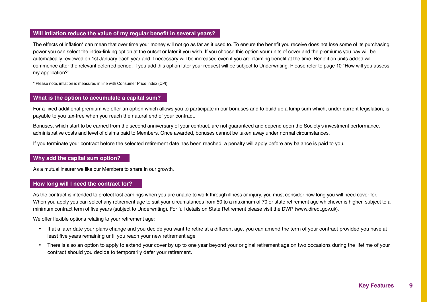#### **Will inflation reduce the value of my regular benefit in several years?**

The effects of inflation\* can mean that over time your money will not go as far as it used to. To ensure the benefit you receive does not lose some of its purchasing power you can select the index-linking option at the outset or later if you wish. If you choose this option your units of cover and the premiums you pay will be automatically reviewed on 1st January each year and if necessary will be increased even if you are claiming benefit at the time. Benefit on units added will commence after the relevant deferred period. If you add this option later your request will be subject to Underwriting. Please refer to page 10 "How will you assess my application?"

\* Please note, inflation is measured in line with Consumer Price Index (CPI)

#### **What is the option to accumulate a capital sum?**

For a fixed additional premium we offer an option which allows you to participate in our bonuses and to build up a lump sum which, under current legislation, is payable to you tax-free when you reach the natural end of your contract.

Bonuses, which start to be earned from the second anniversary of your contract, are not guaranteed and depend upon the Society's investment performance, administrative costs and level of claims paid to Members. Once awarded, bonuses cannot be taken away under normal circumstances.

If you terminate your contract before the selected retirement date has been reached, a penalty will apply before any balance is paid to you.

#### **Why add the capital sum option?**

As a mutual insurer we like our Members to share in our growth.

#### **How long will I need the contract for?**

As the contract is intended to protect lost earnings when you are unable to work through illness or injury, you must consider how long you will need cover for. When you apply you can select any retirement age to suit your circumstances from 50 to a maximum of 70 or state retirement age whichever is higher, subject to a minimum contract term of five years (subject to Underwriting). For full details on State Retirement please visit the DWP (www.direct.gov.uk).

We offer flexible options relating to your retirement age:

- If at a later date your plans change and you decide you want to retire at a different age, you can amend the term of your contract provided you have at least five years remaining until you reach your new retirement age
- There is also an option to apply to extend your cover by up to one year beyond your original retirement age on two occasions during the lifetime of your contract should you decide to temporarily defer your retirement.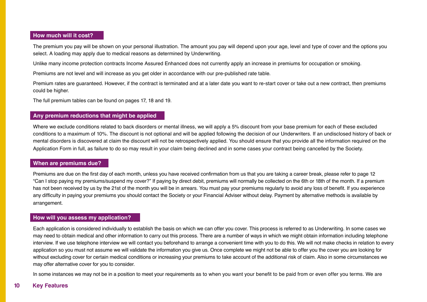#### **How much will it cost?**

The premium you pay will be shown on your personal illustration. The amount you pay will depend upon your age, level and type of cover and the options you select. A loading may apply due to medical reasons as determined by Underwriting.

Unlike many income protection contracts Income Assured Enhanced does not currently apply an increase in premiums for occupation or smoking.

Premiums are not level and will increase as you get older in accordance with our pre-published rate table.

Premium rates are guaranteed. However, if the contract is terminated and at a later date you want to re-start cover or take out a new contract, then premiums could be higher.

The full premium tables can be found on pages 17, 18 and 19.

#### **Any premium reductions that might be applied**

Where we exclude conditions related to back disorders or mental illness, we will apply a 5% discount from your base premium for each of these excluded conditions to a maximum of 10%. The discount is not optional and will be applied following the decision of our Underwriters. If an undisclosed history of back or mental disorders is discovered at claim the discount will not be retrospectively applied. You should ensure that you provide all the information required on the Application Form in full, as failure to do so may result in your claim being declined and in some cases your contract being cancelled by the Society.

#### **When are premiums due?**

Premiums are due on the first day of each month, unless you have received confirmation from us that you are taking a career break, please refer to page 12 "Can I stop paying my premiums/suspend my cover?" If paying by direct debit, premiums will normally be collected on the 6th or 18th of the month. If a premium has not been received by us by the 21st of the month you will be in arrears. You must pay your premiums regularly to avoid any loss of benefit. If you experience any difficulty in paying your premiums you should contact the Society or your Financial Adviser without delay. Payment by alternative methods is available by arrangement.

#### **How will you assess my application?**

Each application is considered individually to establish the basis on which we can offer you cover. This process is referred to as Underwriting. In some cases we may need to obtain medical and other information to carry out this process. There are a number of ways in which we might obtain information including telephone interview. If we use telephone interview we will contact you beforehand to arrange a convenient time with you to do this. We will not make checks in relation to every application so you must not assume we will validate the information you give us. Once complete we might not be able to offer you the cover you are looking for without excluding cover for certain medical conditions or increasing your premiums to take account of the additional risk of claim. Also in some circumstances we may offer alternative cover for you to consider.

In some instances we may not be in a position to meet your requirements as to when you want your benefit to be paid from or even offer you terms. We are

#### 10 Key Features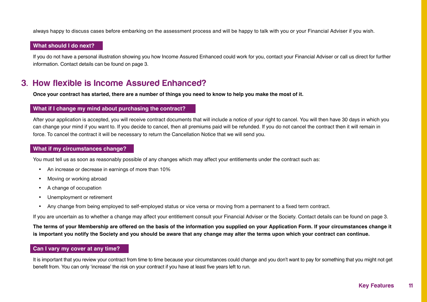always happy to discuss cases before embarking on the assessment process and will be happy to talk with you or your Financial Adviser if you wish.

#### **What should I do next?**

If you do not have a personal illustration showing you how Income Assured Enhanced could work for you, contact your Financial Adviser or call us direct for further information. Contact details can be found on page 3.

## 3. How flexible is Income Assured Enhanced?

**Once your contract has started, there are a number of things you need to know to help you make the most of it.**

#### **What if I change my mind about purchasing the contract?**

After your application is accepted, you will receive contract documents that will include a notice of your right to cancel. You will then have 30 days in which you can change your mind if you want to. If you decide to cancel, then all premiums paid will be refunded. If you do not cancel the contract then it will remain in force. To cancel the contract it will be necessary to return the Cancellation Notice that we will send you.

#### **What if my circumstances change?**

You must tell us as soon as reasonably possible of any changes which may affect your entitlements under the contract such as:

- An increase or decrease in earnings of more than 10%
- Moving or working abroad
- A change of occupation
- • Unemployment or retirement
- Any change from being employed to self-employed status or vice versa or moving from a permanent to a fixed term contract.

If you are uncertain as to whether a change may affect your entitlement consult your Financial Adviser or the Society. Contact details can be found on page 3.

**The terms of your Membership are offered on the basis of the information you supplied on your Application Form. If your circumstances change it is important you notify the Society and you should be aware that any change may alter the terms upon which your contract can continue.**

#### **Can I vary my cover at any time?**

It is important that you review your contract from time to time because your circumstances could change and you don't want to pay for something that you might not get benefit from. You can only 'increase' the risk on your contract if you have at least five years left to run.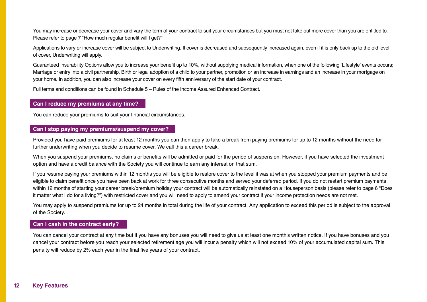You may increase or decrease your cover and vary the term of your contract to suit your circumstances but you must not take out more cover than you are entitled to. Please refer to page 7 "How much regular benefit will I get?"

Applications to vary or increase cover will be subject to Underwriting. If cover is decreased and subsequently increased again, even if it is only back up to the old level of cover, Underwriting will apply.

Guaranteed Insurability Options allow you to increase your benefit up to 10%, without supplying medical information, when one of the following 'Lifestyle' events occurs; Marriage or entry into a civil partnership, Birth or legal adoption of a child to your partner, promotion or an increase in earnings and an increase in your mortgage on your home. In addition, you can also increase your cover on every fifth anniversary of the start date of your contract.

Full terms and conditions can be found in Schedule 5 – Rules of the Income Assured Enhanced Contract.

#### **Can I reduce my premiums at any time?**

You can reduce your premiums to suit your financial circumstances.

#### **Can I stop paying my premiums/suspend my cover?**

Provided you have paid premiums for at least 12 months you can then apply to take a break from paying premiums for up to 12 months without the need for further underwriting when you decide to resume cover. We call this a career break.

When you suspend your premiums, no claims or benefits will be admitted or paid for the period of suspension. However, if you have selected the investment option and have a credit balance with the Society you will continue to earn any interest on that sum.

If you resume paying your premiums within 12 months you will be eligible to restore cover to the level it was at when you stopped your premium payments and be eligible to claim benefit once you have been back at work for three consecutive months and served your deferred period. If you do not restart premium payments within 12 months of starting your career break/premium holiday your contract will be automatically reinstated on a Houseperson basis (please refer to page 6 "Does it matter what I do for a living?") with restricted cover and you will need to apply to amend your contract if your income protection needs are not met.

You may apply to suspend premiums for up to 24 months in total during the life of your contract. Any application to exceed this period is subject to the approval of the Society.

#### **Can I cash in the contract early?**

You can cancel your contract at any time but if you have any bonuses you will need to give us at least one month's written notice. If you have bonuses and you cancel your contract before you reach your selected retirement age you will incur a penalty which will not exceed 10% of your accumulated capital sum. This penalty will reduce by 2% each year in the final five years of your contract.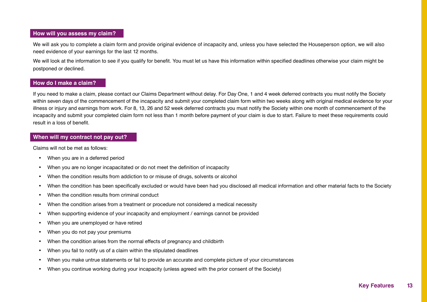#### **How will you assess my claim?**

We will ask you to complete a claim form and provide original evidence of incapacity and, unless you have selected the Houseperson option, we will also need evidence of your earnings for the last 12 months.

We will look at the information to see if you qualify for benefit. You must let us have this information within specified deadlines otherwise your claim might be postponed or declined.

#### **How do I make a claim?**

If you need to make a claim, please contact our Claims Department without delay. For Day One, 1 and 4 week deferred contracts you must notify the Society within seven days of the commencement of the incapacity and submit your completed claim form within two weeks along with original medical evidence for your illness or injury and earnings from work. For 8, 13, 26 and 52 week deferred contracts you must notify the Society within one month of commencement of the incapacity and submit your completed claim form not less than 1 month before payment of your claim is due to start. Failure to meet these requirements could result in a loss of benefit.

#### **When will my contract not pay out?**

Claims will not be met as follows:

- When you are in a deferred period
- When you are no longer incapacitated or do not meet the definition of incapacity
- When the condition results from addiction to or misuse of drugs, solvents or alcohol
- When the condition has been specifically excluded or would have been had you disclosed all medical information and other material facts to the Society
- When the condition results from criminal conduct
- When the condition arises from a treatment or procedure not considered a medical necessity
- When supporting evidence of your incapacity and employment / earnings cannot be provided
- When you are unemployed or have retired
- When you do not pay your premiums
- When the condition arises from the normal effects of pregnancy and childbirth
- When you fail to notify us of a claim within the stipulated deadlines
- When you make untrue statements or fail to provide an accurate and complete picture of your circumstances
- When you continue working during your incapacity (unless agreed with the prior consent of the Society)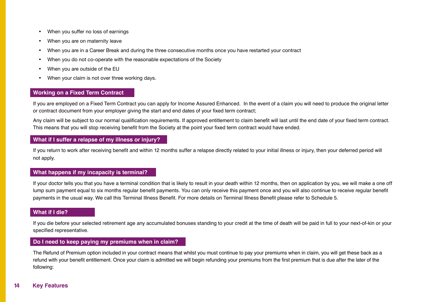- • When you suffer no loss of earnings
- When you are on maternity leave
- When you are in a Career Break and during the three consecutive months once you have restarted your contract
- When you do not co-operate with the reasonable expectations of the Society
- When you are outside of the EU
- When your claim is not over three working days.

#### **Working on a Fixed Term Contract**

If you are employed on a Fixed Term Contract you can apply for Income Assured Enhanced. In the event of a claim you will need to produce the original letter or contract document from your employer giving the start and end dates of your fixed term contract;

Any claim will be subject to our normal qualification requirements. If approved entitlement to claim benefit will last until the end date of your fixed term contract. This means that you will stop receiving benefit from the Society at the point your fixed term contract would have ended.

#### **What if I suffer a relapse of my illness or injury?**

If you return to work after receiving benefit and within 12 months suffer a relapse directly related to your initial illness or injury, then your deferred period will not apply.

#### **What happens if my incapacity is terminal?**

If your doctor tells you that you have a terminal condition that is likely to result in your death within 12 months, then on application by you, we will make a one off lump sum payment equal to six months regular benefit payments. You can only receive this payment once and you will also continue to receive regular benefit payments in the usual way. We call this Terminal Illness Benefit. For more details on Terminal Illness Benefit please refer to Schedule 5.

#### **What if I die?**

If you die before your selected retirement age any accumulated bonuses standing to your credit at the time of death will be paid in full to your next-of-kin or your specified representative.

#### **Do I need to keep paying my premiums when in claim?**

The Refund of Premium option included in your contract means that whilst you must continue to pay your premiums when in claim, you will get these back as a refund with your benefit entitlement. Once your claim is admitted we will begin refunding your premiums from the first premium that is due after the later of the following: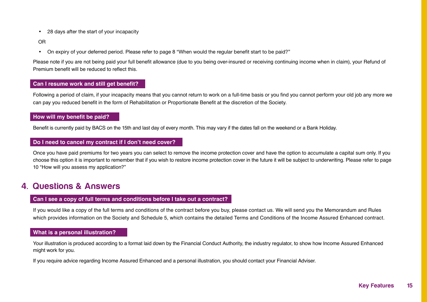• 28 days after the start of your incapacity

OR

• On expiry of your deferred period. Please refer to page 8 "When would the regular benefit start to be paid?"

Please note if you are not being paid your full benefit allowance (due to you being over-insured or receiving continuing income when in claim), your Refund of Premium benefit will be reduced to reflect this.

#### **Can I resume work and still get benefit?**

Following a period of claim, if your incapacity means that you cannot return to work on a full-time basis or you find you cannot perform your old job any more we can pay you reduced benefit in the form of Rehabilitation or Proportionate Benefit at the discretion of the Society.

#### **How will my benefit be paid?**

Benefit is currently paid by BACS on the 15th and last day of every month. This may vary if the dates fall on the weekend or a Bank Holiday.

#### **Do I need to cancel my contract if I don't need cover?**

Once you have paid premiums for two years you can select to remove the income protection cover and have the option to accumulate a capital sum only. If you choose this option it is important to remember that if you wish to restore income protection cover in the future it will be subject to underwriting. Please refer to page 10 "How will you assess my application?"

## 4. Questions & Answers

#### **Can I see a copy of full terms and conditions before I take out a contract?**

If you would like a copy of the full terms and conditions of the contract before you buy, please contact us. We will send you the Memorandum and Rules which provides information on the Society and Schedule 5, which contains the detailed Terms and Conditions of the Income Assured Enhanced contract.

#### **What is a personal illustration?**

Your illustration is produced according to a format laid down by the Financial Conduct Authority, the industry regulator, to show how Income Assured Enhanced might work for you.

If you require advice regarding Income Assured Enhanced and a personal illustration, you should contact your Financial Adviser.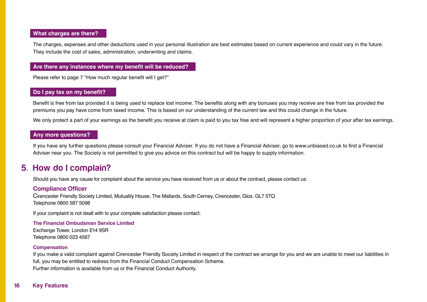#### **What charges are there?**

The charges, expenses and other deductions used in your personal illustration are best estimates based on current experience and could vary in the future. They include the cost of sales, administration, underwriting and claims.

#### **Are there any instances where my benefit will be reduced?**

Please refer to page 7 "How much regular benefit will I get?"

#### **Do I pay tax on my benefit?**

Benefit is free from tax provided it is being used to replace lost income. The benefits along with any bonuses you may receive are free from tax provided the premiums you pay have come from taxed income. This is based on our understanding of the current law and this could change in the future.

We only protect a part of your earnings as the benefit you receive at claim is paid to you tax free and will represent a higher proportion of your after tax earnings.

#### **Any more questions?**

If you have any further questions please consult your Financial Adviser. If you do not have a Financial Adviser, go to www.unbiased.co.uk to find a Financial Adviser near you. The Society is not permitted to give you advice on this contract but will be happy to supply information.

### 5. How do I complain?

Should you have any cause for complaint about the service you have received from us or about the contract, please contact us:

#### **Compliance Officer**

Cirencester Friendly Society Limited, Mutuality House, The Mallards, South Cerney, Cirencester, Glos. GL7 5TQ Telephone 0800 587 5098

If your complaint is not dealt with to your complete satisfaction please contact:

#### **The Financial Ombudsman Service Limited**

Exchange Tower, London E14 9SR Telephone 0800 023 4567

#### **Compensation**

If you make a valid complaint against Cirencester Friendly Society Limited in respect of the contract we arrange for you and we are unable to meet our liabilities in full, you may be entitled to redress from the Financial Conduct Compensation Scheme. Further information is available from us or the Financial Conduct Authority.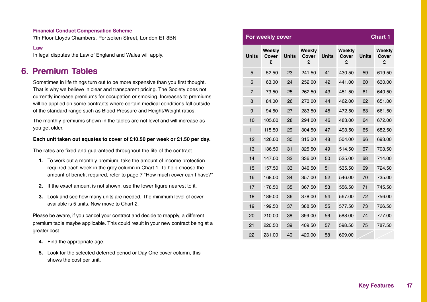#### **Financial Conduct Compensation Scheme**

7th Floor Lloyds Chambers, Portsoken Street, London E1 8BN

#### **Law**

In legal disputes the Law of England and Wales will apply.

## 6. Premium Tables

Sometimes in life things turn out to be more expensive than you first thought. That is why we believe in clear and transparent pricing. The Society does not currently increase premiums for occupation or smoking. Increases to premiums will be applied on some contracts where certain medical conditions fall outside of the standard range such as Blood Pressure and Height/Weight ratios.

The monthly premiums shown in the tables are not level and will increase as you get older.

#### **Each unit taken out equates to cover of £10.50 per week or £1.50 per day.**

The rates are fixed and guaranteed throughout the life of the contract.

- **1.** To work out a monthly premium, take the amount of income protection required each week in the grey column in Chart 1. To help choose the amount of benefit required, refer to page 7 "How much cover can I have?"
- **2.** If the exact amount is not shown, use the lower figure nearest to it.
- **3.** Look and see how many units are needed. The minimum level of cover available is 5 units. Now move to Chart 2.

Please be aware, if you cancel your contract and decide to reapply, a different premium table maybe applicable. This could result in your new contract being at a greater cost.

- **4.** Find the appropriate age.
- **5.** Look for the selected deferred period or Day One cover column, this shows the cost per unit.

| <b>Chart 1</b><br>For weekly cover |                             |              |                             |              |                                    |              |                      |
|------------------------------------|-----------------------------|--------------|-----------------------------|--------------|------------------------------------|--------------|----------------------|
| <b>Units</b>                       | Weekly<br><b>Cover</b><br>£ | <b>Units</b> | <b>Weekly</b><br>Cover<br>£ | <b>Units</b> | <b>Weekly</b><br><b>Cover</b><br>£ | <b>Units</b> | Weekly<br>Cover<br>£ |
| 5                                  | 52.50                       | 23           | 241.50                      | 41           | 430.50                             | 59           | 619.50               |
| 6                                  | 63.00                       | 24           | 252.00                      | 42           | 441.00                             | 60           | 630.00               |
| $\overline{7}$                     | 73.50                       | 25           | 262.50                      | 43           | 451.50                             | 61           | 640.50               |
| 8                                  | 84.00                       | 26           | 273.00                      | 44           | 462.00                             | 62           | 651.00               |
| 9                                  | 94.50                       | 27           | 283.50                      | 45           | 472.50                             | 63           | 661.50               |
| 10                                 | 105.00                      | 28           | 294.00                      | 46           | 483.00                             | 64           | 672.00               |
| 11                                 | 115.50                      | 29           | 304.50                      | 47           | 493.50                             | 65           | 682.50               |
| 12                                 | 126.00                      | 30           | 315.00                      | 48           | 504.00                             | 66           | 693.00               |
| 13                                 | 136.50                      | 31           | 325.50                      | 49           | 514.50                             | 67           | 703.50               |
| 14                                 | 147.00                      | 32           | 336.00                      | 50           | 525.00                             | 68           | 714.00               |
| 15                                 | 157.50                      | 33           | 346.50                      | 51           | 535.50                             | 69           | 724.50               |
| 16                                 | 168.00                      | 34           | 357.00                      | 52           | 546.00                             | 70           | 735.00               |
| 17                                 | 178.50                      | 35           | 367.50                      | 53           | 556.50                             | 71           | 745.50               |
| 18                                 | 189.00                      | 36           | 378.00                      | 54           | 567.00                             | 72           | 756.00               |
| 19                                 | 199.50                      | 37           | 388.50                      | 55           | 577.50                             | 73           | 766.50               |
| 20                                 | 210.00                      | 38           | 399.00                      | 56           | 588.00                             | 74           | 777.00               |
| 21                                 | 220.50                      | 39           | 409.50                      | 57           | 598.50                             | 75           | 787.50               |
| 22                                 | 231.00                      | 40           | 420.00                      | 58           | 609.00                             |              |                      |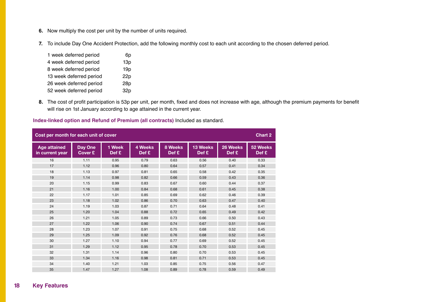- **6.** Now multiply the cost per unit by the number of units required.
- **7.** To include Day One Accident Protection, add the following monthly cost to each unit according to the chosen deferred period.

| 1 week deferred period  | 6p              |
|-------------------------|-----------------|
| 4 week deferred period  | 13p             |
| 8 week deferred period  | 19 <sub>p</sub> |
| 13 week deferred period | 22p             |
| 26 week deferred period | 28p             |
| 52 week deferred period | 32p             |

**8.** The cost of profit participation is 53p per unit, per month, fixed and does not increase with age, although the premium payments for benefit will rise on 1st January according to age attained in the current year.

**Index-linked option and Refund of Premium (all contracts)** Included as standard.

| Cost per month for each unit of cover<br><b>Chart 2</b> |                    |                 |                  |                  |                   |                   |                   |
|---------------------------------------------------------|--------------------|-----------------|------------------|------------------|-------------------|-------------------|-------------------|
| <b>Age attained</b><br>in current year                  | Day One<br>Cover £ | 1 Week<br>Def £ | 4 Weeks<br>Def £ | 8 Weeks<br>Def £ | 13 Weeks<br>Def £ | 26 Weeks<br>Def £ | 52 Weeks<br>Def £ |
| 16                                                      | 1.11               | 0.95            | 0.79             | 0.63             | 0.56              | 0.40              | 0.33              |
| 17                                                      | 1.12               | 0.96            | 0.80             | 0.64             | 0.57              | 0.41              | 0.34              |
| 18                                                      | 1.13               | 0.97            | 0.81             | 0.65             | 0.58              | 0.42              | 0.35              |
| 19                                                      | 1.14               | 0.98            | 0.82             | 0.66             | 0.59              | 0.43              | 0.36              |
| 20                                                      | 1.15               | 0.99            | 0.83             | 0.67             | 0.60              | 0.44              | 0.37              |
| 21                                                      | 1.16               | 1.00            | 0.84             | 0.68             | 0.61              | 0.45              | 0.38              |
| 22                                                      | 1.17               | 1.01            | 0.85             | 0.69             | 0.62              | 0.46              | 0.39              |
| 23                                                      | 1.18               | 1.02            | 0.86             | 0.70             | 0.63              | 0.47              | 0.40              |
| 24                                                      | 1.19               | 1.03            | 0.87             | 0.71             | 0.64              | 0.48              | 0.41              |
| 25                                                      | 1.20               | 1.04            | 0.88             | 0.72             | 0.65              | 0.49              | 0.42              |
| 26                                                      | 1.21               | 1.05            | 0.89             | 0.73             | 0.66              | 0.50              | 0.43              |
| 27                                                      | 1.22               | 1.06            | 0.90             | 0.74             | 0.67              | 0.51              | 0.44              |
| 28                                                      | 1.23               | 1.07            | 0.91             | 0.75             | 0.68              | 0.52              | 0.45              |
| 29                                                      | 1.25               | 1.09            | 0.92             | 0.76             | 0.68              | 0.52              | 0.45              |
| 30                                                      | 1.27               | 1.10            | 0.94             | 0.77             | 0.69              | 0.52              | 0.45              |
| 31                                                      | 1.29               | 1.12            | 0.95             | 0.78             | 0.70              | 0.53              | 0.45              |
| 32                                                      | 1.31               | 1.14            | 0.96             | 0.80             | 0.70              | 0.53              | 0.45              |
| 33                                                      | 1.34               | 1.16            | 0.98             | 0.81             | 0.71              | 0.53              | 0.45              |
| 34                                                      | 1.40               | 1.21            | 1.03             | 0.85             | 0.75              | 0.56              | 0.47              |
| 35                                                      | 1.47               | 1.27            | 1.08             | 0.89             | 0.78              | 0.59              | 0.49              |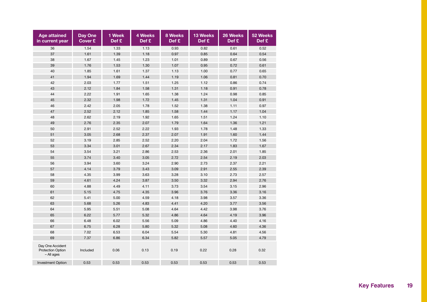| <b>Age attained</b><br>in current year                     | <b>Day One</b><br><b>Cover £</b> | 1 Week<br>Def £ | <b>4 Weeks</b><br>Def £ | <b>8 Weeks</b><br>Def £ | 13 Weeks<br>Def £ | 26 Weeks<br>Def £ | 52 Weeks<br>Def £ |
|------------------------------------------------------------|----------------------------------|-----------------|-------------------------|-------------------------|-------------------|-------------------|-------------------|
| 36                                                         | 1.54                             | 1.33            | 1.13                    | 0.93                    | 0.82              | 0.61              | 0.52              |
| 37                                                         | 1.61                             | 1.39            | 1.18                    | 0.97                    | 0.85              | 0.64              | 0.54              |
| 38                                                         | 1.67                             | 1.45            | 1.23                    | 1.01                    | 0.89              | 0.67              | 0.56              |
| 39                                                         | 1.76                             | 1.53            | 1.30                    | 1.07                    | 0.95              | 0.72              | 0.61              |
| 40                                                         | 1.85                             | 1.61            | 1.37                    | 1.13                    | 1.00              | 0.77              | 0.65              |
| 41                                                         | 1.94                             | 1.69            | 1.44                    | 1.19                    | 1.06              | 0.81              | 0.70              |
| 42                                                         | 2.03                             | 1.77            | 1.51                    | 1.25                    | 1.12              | 0.86              | 0.74              |
| 43                                                         | 2.12                             | 1.84            | 1.58                    | 1.31                    | 1.18              | 0.91              | 0.78              |
| 44                                                         | 2.22                             | 1.91            | 1.65                    | 1.38                    | 1.24              | 0.98              | 0.85              |
| 45                                                         | 2.32                             | 1.98            | 1.72                    | 1.45                    | 1.31              | 1.04              | 0.91              |
| 46                                                         | 2.42                             | 2.05            | 1.78                    | 1.52                    | 1.38              | 1.11              | 0.97              |
| 47                                                         | 2.52                             | 2.12            | 1.85                    | 1.58                    | 1.44              | 1.17              | 1.04              |
| 48                                                         | 2.62                             | 2.19            | 1.92                    | 1.65                    | 1.51              | 1.24              | 1.10              |
| 49                                                         | 2.76                             | 2.35            | 2.07                    | 1.79                    | 1.64              | 1.36              | 1.21              |
| 50                                                         | 2.91                             | 2.52            | 2.22                    | 1.93                    | 1.78              | 1.48              | 1.33              |
| 51                                                         | 3.05                             | 2.68            | 2.37                    | 2.07                    | 1.91              | 1.60              | 1.44              |
| 52                                                         | 3.19                             | 2.85            | 2.52                    | 2.20                    | 2.04              | 1.72              | 1.56              |
| 53                                                         | 3.34                             | 3.01            | 2.67                    | 2.34                    | 2.17              | 1.83              | 1.67              |
| 54                                                         | 3.54                             | 3.21            | 2.86                    | 2.53                    | 2.36              | 2.01              | 1.85              |
| 55                                                         | 3.74                             | 3.40            | 3.05                    | 2.72                    | 2.54              | 2.19              | 2.03              |
| 56                                                         | 3.94                             | 3.60            | 3.24                    | 2.90                    | 2.73              | 2.37              | 2.21              |
| 57                                                         | 4.14                             | 3.79            | 3.43                    | 3.09                    | 2.91              | 2.55              | 2.39              |
| 58                                                         | 4.35                             | 3.99            | 3.63                    | 3.28                    | 3.10              | 2.73              | 2.57              |
| 59                                                         | 4.61                             | 4.24            | 3.87                    | 3.50                    | 3.32              | 2.94              | 2.76              |
| 60                                                         | 4.88                             | 4.49            | 4.11                    | 3.73                    | 3.54              | 3.15              | 2.96              |
| 61                                                         | 5.15                             | 4.75            | 4.35                    | 3.96                    | 3.76              | 3.36              | 3.16              |
| 62                                                         | 5.41                             | 5.00            | 4.59                    | 4.18                    | 3.98              | 3.57              | 3.36              |
| 63                                                         | 5.68                             | 5.26            | 4.83                    | 4.41                    | 4.20              | 3.77              | 3.56              |
| 64                                                         | 5.95                             | 5.51            | 5.08                    | 4.64                    | 4.42              | 3.98              | 3.76              |
| 65                                                         | 6.22                             | 5.77            | 5.32                    | 4.86                    | 4.64              | 4.19              | 3.96              |
| 66                                                         | 6.48                             | 6.02            | 5.56                    | 5.09                    | 4.86              | 4.40              | 4.16              |
| 67                                                         | 6.75                             | 6.28            | 5.80                    | 5.32                    | 5.08              | 4.60              | 4.36              |
| 68                                                         | 7.02                             | 6.53            | 6.04                    | 5.54                    | 5.30              | 4.81              | 4.56              |
| 69                                                         | 7.37                             | 6.86            | 6.34                    | 5.82                    | 5.57              | 5.05              | 4.79              |
| Day One Accident<br><b>Protection Option</b><br>- All ages | Included                         | 0.06            | 0.13                    | 0.19                    | 0.22              | 0.28              | 0.32              |
| <b>Investment Option</b>                                   | 0.53                             | 0.53            | 0.53                    | 0.53                    | 0.53              | 0.53              | 0.53              |